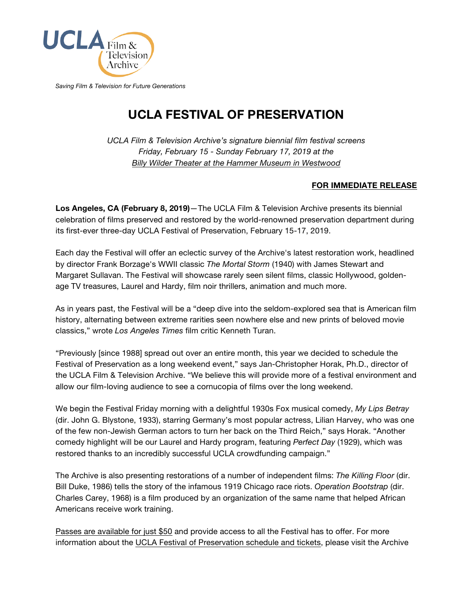

*Saving Film & Television for Future Generations*

## **[UCLA FESTIVAL OF PRESERVATION](https://www.cinema.ucla.edu/programs/ucla-festival-preservation)**

*UCLA Film & Television Archive's signature biennial film festival screens Friday, February 15 - Sunday February 17, 2019 at the Billy Wilder Theater [at the Hammer Museum in Westwood](https://www.cinema.ucla.edu/billy-wilder-theater)*

## **FOR IMMEDIATE RELEASE**

**Los Angeles, CA (February 8, 2019)**—The UCLA Film & Television Archive presents its biennial celebration of films preserved and restored by the world-renowned preservation department during its first-ever three-day UCLA Festival of Preservation, February 15-17, 2019.

Each day the Festival will offer an eclectic survey of the Archive's latest restoration work, headlined by director Frank Borzage's WWII classic *The Mortal Storm* (1940) with James Stewart and Margaret Sullavan. The Festival will showcase rarely seen silent films, classic Hollywood, goldenage TV treasures, Laurel and Hardy, film noir thrillers, animation and much more.

As in years past, the Festival will be a "deep dive into the seldom-explored sea that is American film history, alternating between extreme rarities seen nowhere else and new prints of beloved movie classics," wrote *Los Angeles Times* film critic Kenneth Turan.

"Previously [since 1988] spread out over an entire month, this year we decided to schedule the Festival of Preservation as a long weekend event," says Jan-Christopher Horak, Ph.D., director of the UCLA Film & Television Archive. "We believe this will provide more of a festival environment and allow our film-loving audience to see a cornucopia of films over the long weekend.

We begin the Festival Friday morning with a delightful 1930s Fox musical comedy, *My Lips Betray* (dir. John G. Blystone, 1933), starring Germany's most popular actress, Lilian Harvey, who was one of the few non-Jewish German actors to turn her back on the Third Reich," says Horak. "Another comedy highlight will be our Laurel and Hardy program, featuring *Perfect Day* (1929), which was restored thanks to an incredibly successful UCLA crowdfunding campaign."

The Archive is also presenting restorations of a number of independent films: *The Killing Floor* (dir. Bill Duke, 1986) tells the story of the infamous 1919 Chicago race riots. *Operation Bootstrap* (dir. Charles Carey, 1968) is a film produced by an organization of the same name that helped African Americans receive work training.

[Passes are available for just \\$50](https://emarket.cinema.ucla.edu/ShoppingCenter/Details.aspx?ref=1054) and provide access to all the Festival has to offer. For more information about the [UCLA Festival of Preservation schedule and tickets,](https://www.cinema.ucla.edu/events/2019/ucla-festival-of-preservation) please visit the Archive